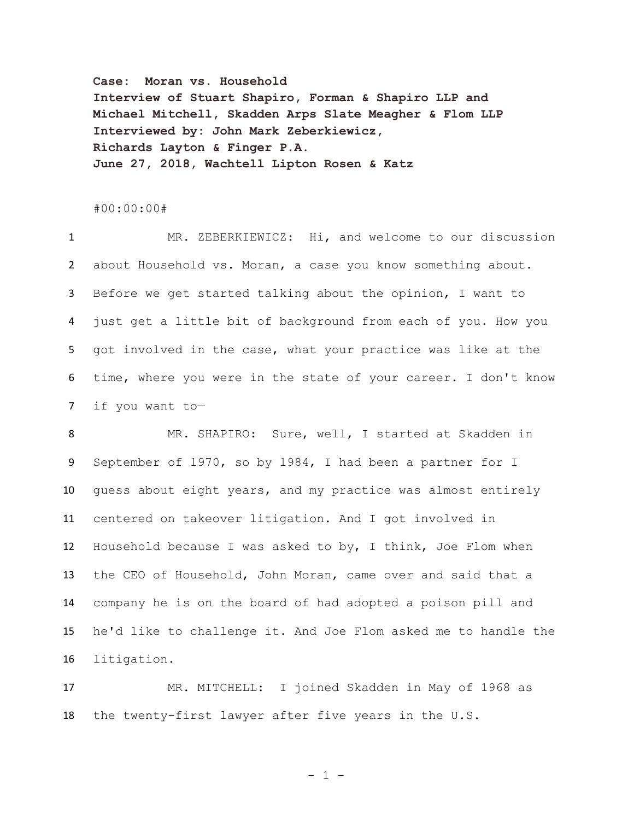**Case: Moran vs. Household Interview of Stuart Shapiro, Forman & Shapiro LLP and Michael Mitchell, Skadden Arps Slate Meagher & Flom LLP Interviewed by: John Mark Zeberkiewicz, Richards Layton & Finger P.A. June 27, 2018, Wachtell Lipton Rosen & Katz**

## #00:00:00#

 MR. ZEBERKIEWICZ: Hi, and welcome to our discussion about Household vs. Moran, a case you know something about. Before we get started talking about the opinion, I want to just get a little bit of background from each of you. How you got involved in the case, what your practice was like at the time, where you were in the state of your career. I don't know if you want to—

 MR. SHAPIRO: Sure, well, I started at Skadden in September of 1970, so by 1984, I had been a partner for I guess about eight years, and my practice was almost entirely centered on takeover litigation. And I got involved in Household because I was asked to by, I think, Joe Flom when the CEO of Household, John Moran, came over and said that a company he is on the board of had adopted a poison pill and he'd like to challenge it. And Joe Flom asked me to handle the litigation.

 MR. MITCHELL: I joined Skadden in May of 1968 as the twenty-first lawyer after five years in the U.S.

 $- 1 -$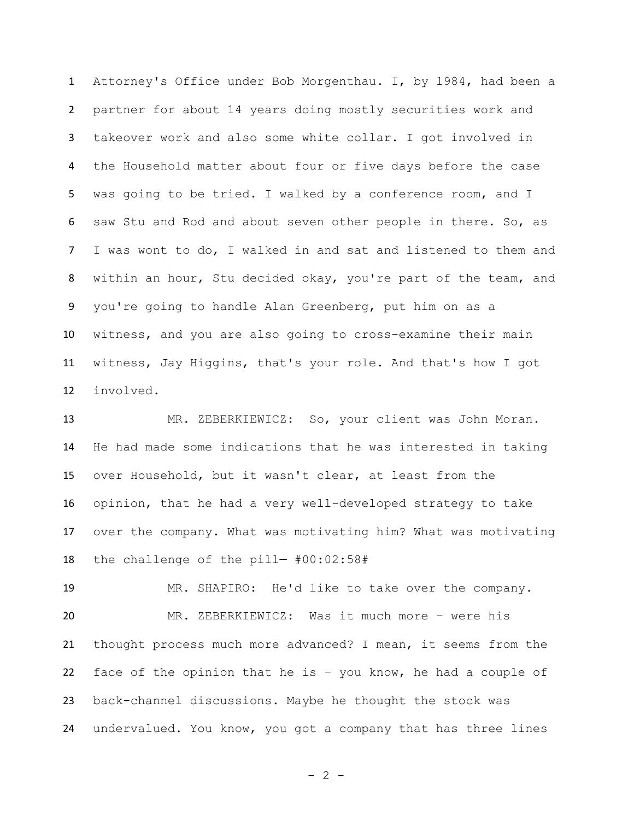Attorney's Office under Bob Morgenthau. I, by 1984, had been a partner for about 14 years doing mostly securities work and takeover work and also some white collar. I got involved in the Household matter about four or five days before the case was going to be tried. I walked by a conference room, and I saw Stu and Rod and about seven other people in there. So, as I was wont to do, I walked in and sat and listened to them and within an hour, Stu decided okay, you're part of the team, and you're going to handle Alan Greenberg, put him on as a witness, and you are also going to cross-examine their main witness, Jay Higgins, that's your role. And that's how I got involved.

 MR. ZEBERKIEWICZ: So, your client was John Moran. He had made some indications that he was interested in taking over Household, but it wasn't clear, at least from the opinion, that he had a very well-developed strategy to take over the company. What was motivating him? What was motivating the challenge of the pill— #00:02:58#

 MR. SHAPIRO: He'd like to take over the company. MR. ZEBERKIEWICZ: Was it much more – were his thought process much more advanced? I mean, it seems from the face of the opinion that he is – you know, he had a couple of back-channel discussions. Maybe he thought the stock was undervalued. You know, you got a company that has three lines

 $- 2 -$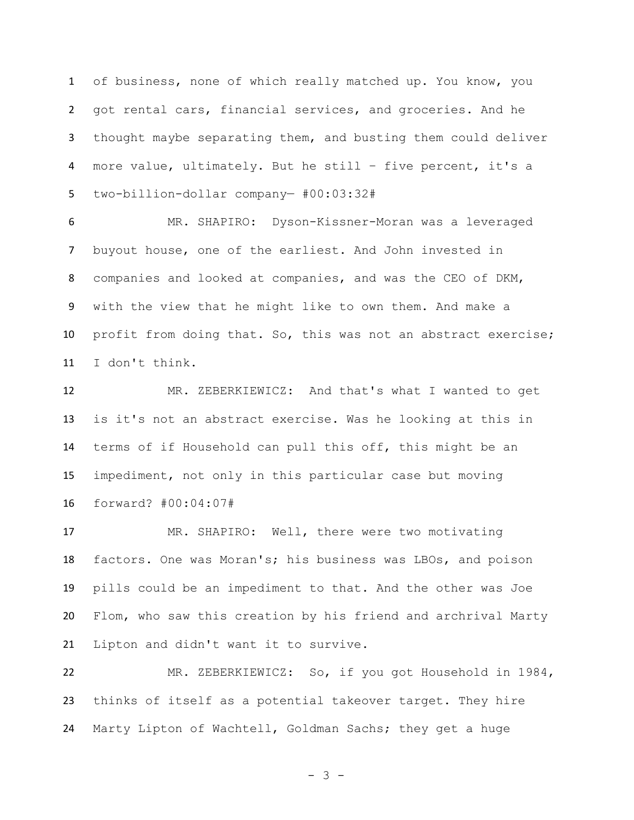of business, none of which really matched up. You know, you got rental cars, financial services, and groceries. And he thought maybe separating them, and busting them could deliver more value, ultimately. But he still – five percent, it's a two-billion-dollar company— #00:03:32#

 MR. SHAPIRO: Dyson-Kissner-Moran was a leveraged buyout house, one of the earliest. And John invested in companies and looked at companies, and was the CEO of DKM, with the view that he might like to own them. And make a profit from doing that. So, this was not an abstract exercise; I don't think.

 MR. ZEBERKIEWICZ: And that's what I wanted to get is it's not an abstract exercise. Was he looking at this in terms of if Household can pull this off, this might be an impediment, not only in this particular case but moving forward? #00:04:07#

 MR. SHAPIRO: Well, there were two motivating factors. One was Moran's; his business was LBOs, and poison pills could be an impediment to that. And the other was Joe Flom, who saw this creation by his friend and archrival Marty Lipton and didn't want it to survive.

 MR. ZEBERKIEWICZ: So, if you got Household in 1984, thinks of itself as a potential takeover target. They hire Marty Lipton of Wachtell, Goldman Sachs; they get a huge

- 3 -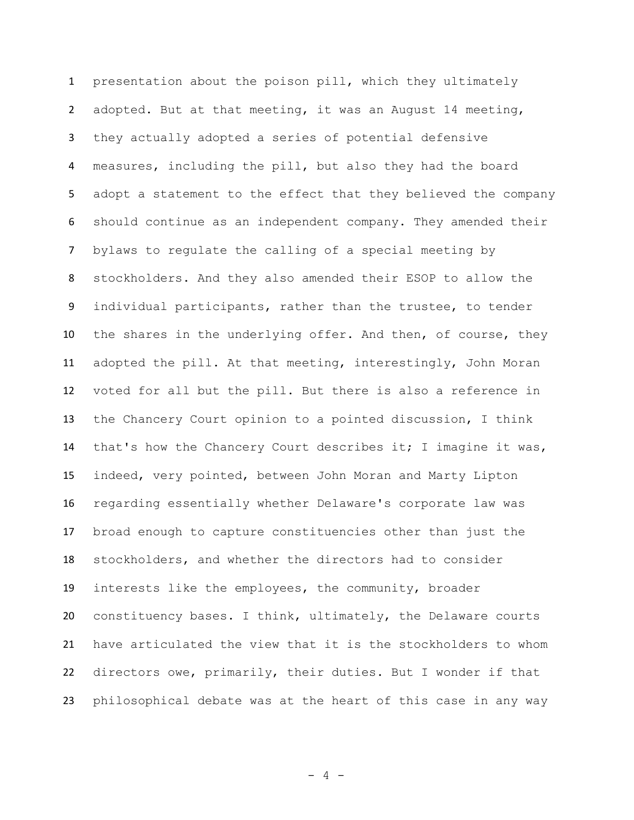presentation about the poison pill, which they ultimately adopted. But at that meeting, it was an August 14 meeting, they actually adopted a series of potential defensive measures, including the pill, but also they had the board adopt a statement to the effect that they believed the company should continue as an independent company. They amended their bylaws to regulate the calling of a special meeting by stockholders. And they also amended their ESOP to allow the individual participants, rather than the trustee, to tender the shares in the underlying offer. And then, of course, they adopted the pill. At that meeting, interestingly, John Moran voted for all but the pill. But there is also a reference in the Chancery Court opinion to a pointed discussion, I think that's how the Chancery Court describes it; I imagine it was, indeed, very pointed, between John Moran and Marty Lipton regarding essentially whether Delaware's corporate law was broad enough to capture constituencies other than just the stockholders, and whether the directors had to consider interests like the employees, the community, broader constituency bases. I think, ultimately, the Delaware courts have articulated the view that it is the stockholders to whom directors owe, primarily, their duties. But I wonder if that philosophical debate was at the heart of this case in any way

- 4 -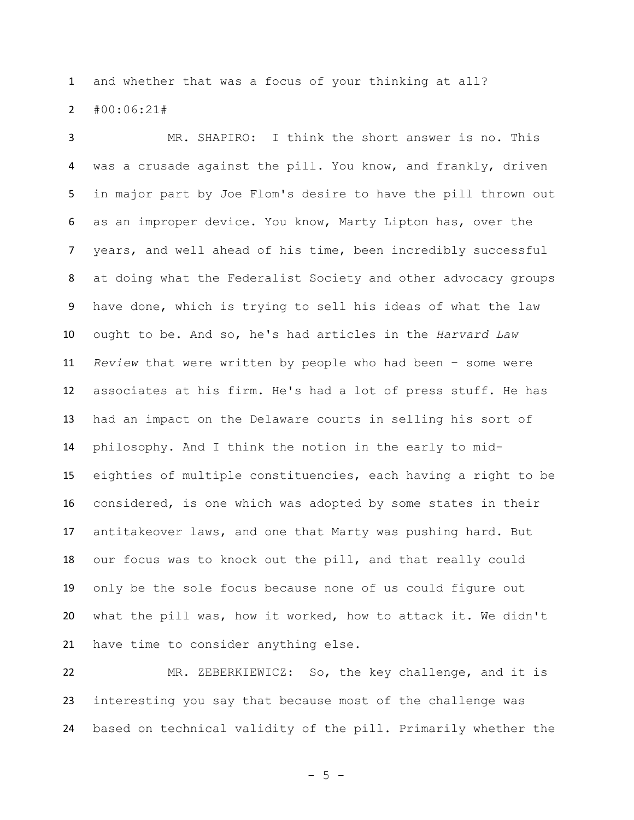and whether that was a focus of your thinking at all? #00:06:21#

 MR. SHAPIRO: I think the short answer is no. This was a crusade against the pill. You know, and frankly, driven in major part by Joe Flom's desire to have the pill thrown out as an improper device. You know, Marty Lipton has, over the years, and well ahead of his time, been incredibly successful at doing what the Federalist Society and other advocacy groups have done, which is trying to sell his ideas of what the law ought to be. And so, he's had articles in the *Harvard Law Review* that were written by people who had been – some were associates at his firm. He's had a lot of press stuff. He has had an impact on the Delaware courts in selling his sort of philosophy. And I think the notion in the early to mid- eighties of multiple constituencies, each having a right to be considered, is one which was adopted by some states in their antitakeover laws, and one that Marty was pushing hard. But our focus was to knock out the pill, and that really could only be the sole focus because none of us could figure out what the pill was, how it worked, how to attack it. We didn't have time to consider anything else.

 MR. ZEBERKIEWICZ: So, the key challenge, and it is interesting you say that because most of the challenge was based on technical validity of the pill. Primarily whether the

 $- 5 -$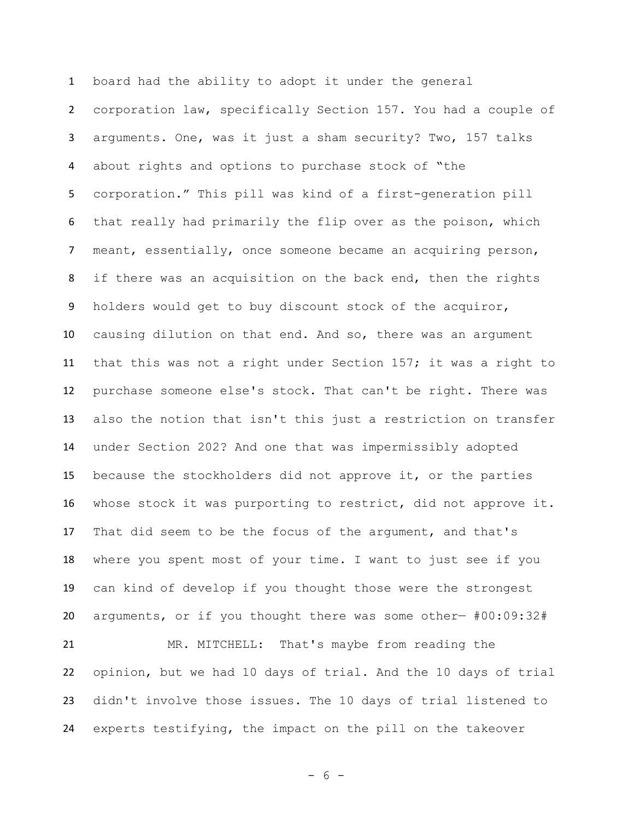board had the ability to adopt it under the general corporation law, specifically Section 157. You had a couple of arguments. One, was it just a sham security? Two, 157 talks about rights and options to purchase stock of "the corporation." This pill was kind of a first-generation pill that really had primarily the flip over as the poison, which meant, essentially, once someone became an acquiring person, 8 if there was an acquisition on the back end, then the rights holders would get to buy discount stock of the acquiror, causing dilution on that end. And so, there was an argument that this was not a right under Section 157; it was a right to purchase someone else's stock. That can't be right. There was also the notion that isn't this just a restriction on transfer under Section 202? And one that was impermissibly adopted because the stockholders did not approve it, or the parties whose stock it was purporting to restrict, did not approve it. That did seem to be the focus of the argument, and that's where you spent most of your time. I want to just see if you can kind of develop if you thought those were the strongest arguments, or if you thought there was some other— #00:09:32# MR. MITCHELL: That's maybe from reading the opinion, but we had 10 days of trial. And the 10 days of trial didn't involve those issues. The 10 days of trial listened to experts testifying, the impact on the pill on the takeover

- 6 -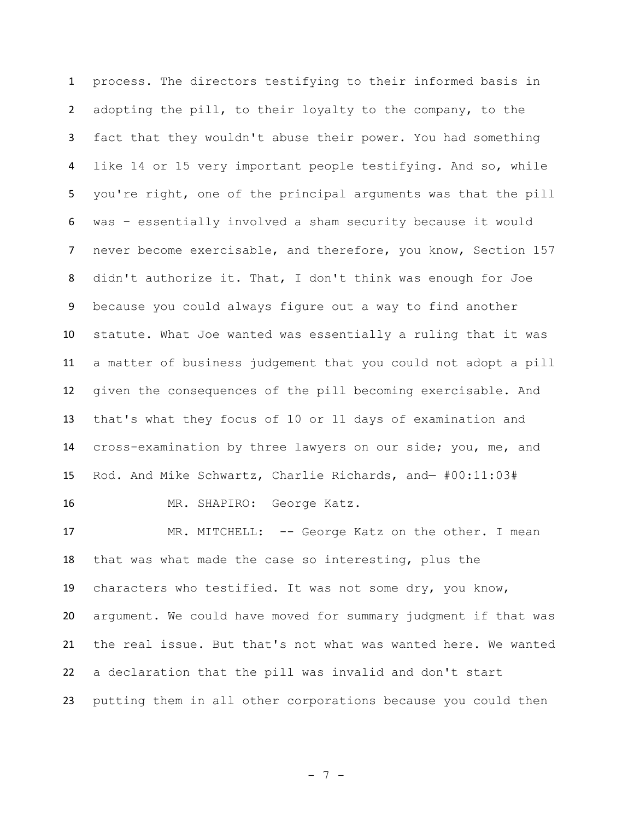process. The directors testifying to their informed basis in adopting the pill, to their loyalty to the company, to the fact that they wouldn't abuse their power. You had something like 14 or 15 very important people testifying. And so, while you're right, one of the principal arguments was that the pill was – essentially involved a sham security because it would never become exercisable, and therefore, you know, Section 157 didn't authorize it. That, I don't think was enough for Joe because you could always figure out a way to find another statute. What Joe wanted was essentially a ruling that it was a matter of business judgement that you could not adopt a pill given the consequences of the pill becoming exercisable. And that's what they focus of 10 or 11 days of examination and cross-examination by three lawyers on our side; you, me, and Rod. And Mike Schwartz, Charlie Richards, and— #00:11:03# MR. SHAPIRO: George Katz.

17 MR. MITCHELL: -- George Katz on the other. I mean that was what made the case so interesting, plus the characters who testified. It was not some dry, you know, argument. We could have moved for summary judgment if that was the real issue. But that's not what was wanted here. We wanted a declaration that the pill was invalid and don't start putting them in all other corporations because you could then

- 7 -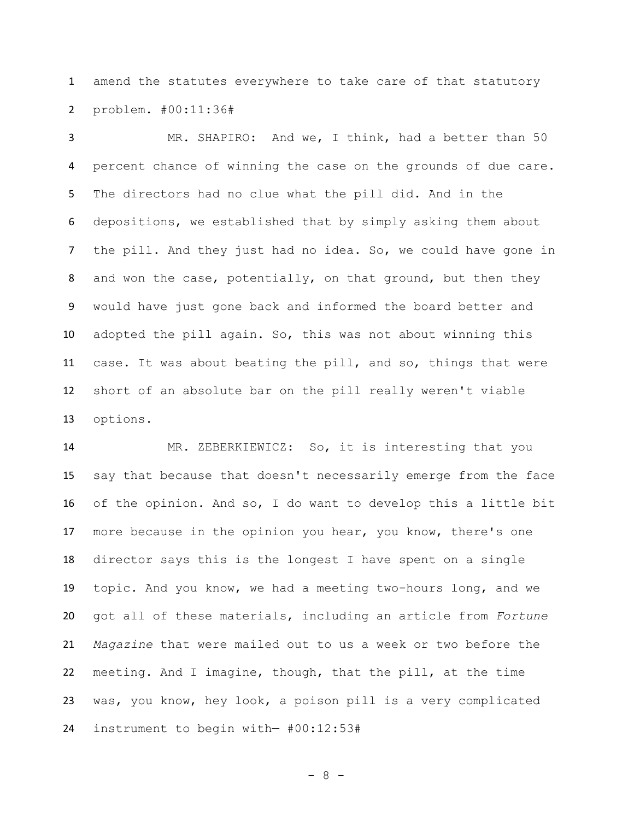amend the statutes everywhere to take care of that statutory problem. #00:11:36#

 MR. SHAPIRO: And we, I think, had a better than 50 percent chance of winning the case on the grounds of due care. The directors had no clue what the pill did. And in the depositions, we established that by simply asking them about the pill. And they just had no idea. So, we could have gone in and won the case, potentially, on that ground, but then they would have just gone back and informed the board better and adopted the pill again. So, this was not about winning this case. It was about beating the pill, and so, things that were short of an absolute bar on the pill really weren't viable options.

 MR. ZEBERKIEWICZ: So, it is interesting that you say that because that doesn't necessarily emerge from the face of the opinion. And so, I do want to develop this a little bit 17 more because in the opinion you hear, you know, there's one director says this is the longest I have spent on a single topic. And you know, we had a meeting two-hours long, and we got all of these materials, including an article from *Fortune Magazine* that were mailed out to us a week or two before the meeting. And I imagine, though, that the pill, at the time was, you know, hey look, a poison pill is a very complicated instrument to begin with— #00:12:53#

- 8 -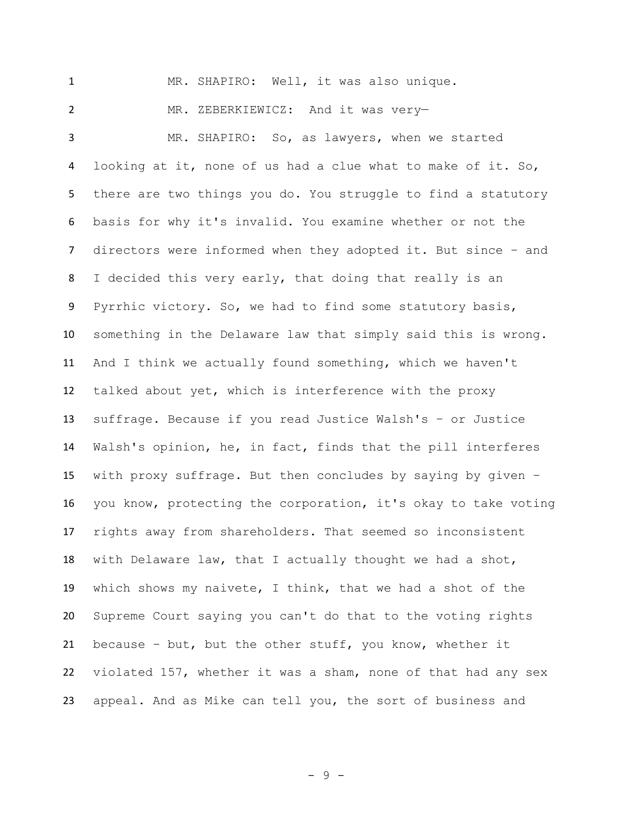MR. SHAPIRO: Well, it was also unique. MR. ZEBERKIEWICZ: And it was very— MR. SHAPIRO: So, as lawyers, when we started looking at it, none of us had a clue what to make of it. So, there are two things you do. You struggle to find a statutory basis for why it's invalid. You examine whether or not the directors were informed when they adopted it. But since – and I decided this very early, that doing that really is an Pyrrhic victory. So, we had to find some statutory basis, something in the Delaware law that simply said this is wrong. And I think we actually found something, which we haven't talked about yet, which is interference with the proxy suffrage. Because if you read Justice Walsh's – or Justice Walsh's opinion, he, in fact, finds that the pill interferes with proxy suffrage. But then concludes by saying by given – you know, protecting the corporation, it's okay to take voting rights away from shareholders. That seemed so inconsistent with Delaware law, that I actually thought we had a shot, which shows my naivete, I think, that we had a shot of the Supreme Court saying you can't do that to the voting rights because – but, but the other stuff, you know, whether it violated 157, whether it was a sham, none of that had any sex appeal. And as Mike can tell you, the sort of business and

- 9 -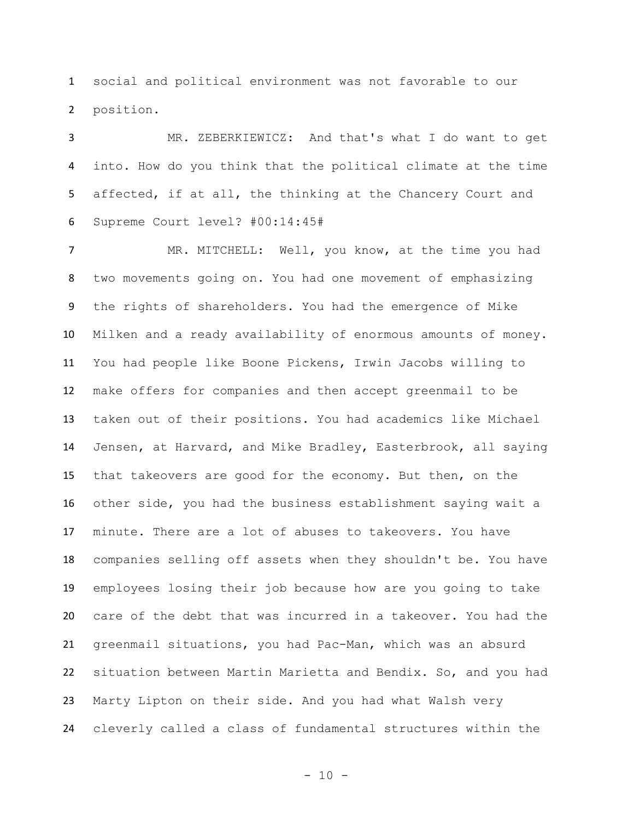social and political environment was not favorable to our position.

 MR. ZEBERKIEWICZ: And that's what I do want to get into. How do you think that the political climate at the time 5 affected, if at all, the thinking at the Chancery Court and Supreme Court level? #00:14:45#

 MR. MITCHELL: Well, you know, at the time you had two movements going on. You had one movement of emphasizing the rights of shareholders. You had the emergence of Mike Milken and a ready availability of enormous amounts of money. You had people like Boone Pickens, Irwin Jacobs willing to make offers for companies and then accept greenmail to be taken out of their positions. You had academics like Michael Jensen, at Harvard, and Mike Bradley, Easterbrook, all saying that takeovers are good for the economy. But then, on the other side, you had the business establishment saying wait a minute. There are a lot of abuses to takeovers. You have companies selling off assets when they shouldn't be. You have employees losing their job because how are you going to take care of the debt that was incurred in a takeover. You had the greenmail situations, you had Pac-Man, which was an absurd situation between Martin Marietta and Bendix. So, and you had Marty Lipton on their side. And you had what Walsh very cleverly called a class of fundamental structures within the

- 10 -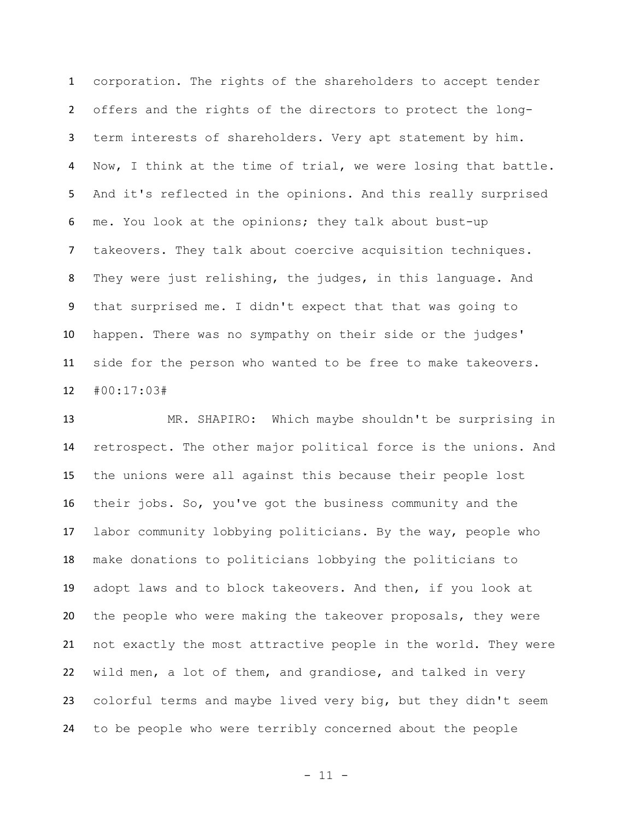corporation. The rights of the shareholders to accept tender offers and the rights of the directors to protect the long- term interests of shareholders. Very apt statement by him. Now, I think at the time of trial, we were losing that battle. And it's reflected in the opinions. And this really surprised me. You look at the opinions; they talk about bust-up takeovers. They talk about coercive acquisition techniques. They were just relishing, the judges, in this language. And that surprised me. I didn't expect that that was going to happen. There was no sympathy on their side or the judges' side for the person who wanted to be free to make takeovers. #00:17:03#

 MR. SHAPIRO: Which maybe shouldn't be surprising in retrospect. The other major political force is the unions. And the unions were all against this because their people lost their jobs. So, you've got the business community and the labor community lobbying politicians. By the way, people who make donations to politicians lobbying the politicians to adopt laws and to block takeovers. And then, if you look at the people who were making the takeover proposals, they were not exactly the most attractive people in the world. They were wild men, a lot of them, and grandiose, and talked in very colorful terms and maybe lived very big, but they didn't seem to be people who were terribly concerned about the people

- 11 -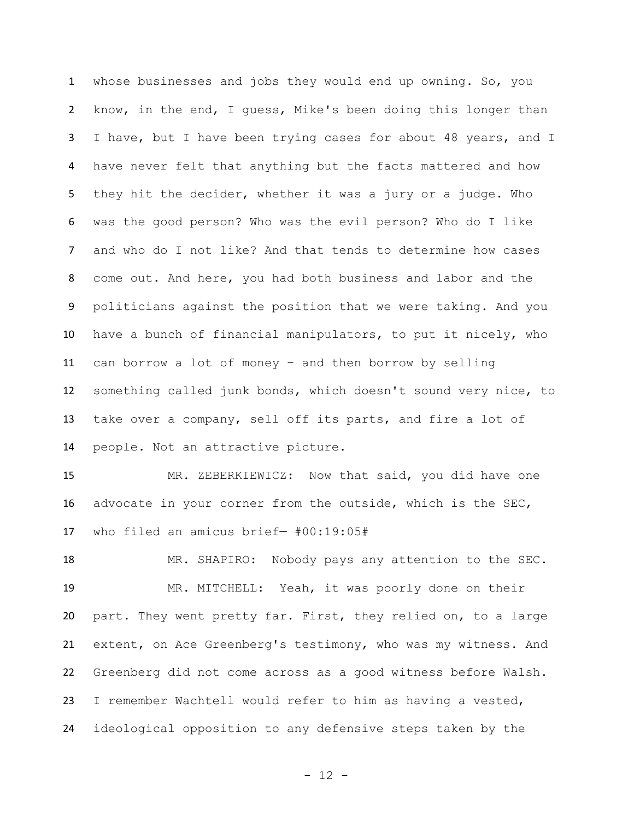whose businesses and jobs they would end up owning. So, you know, in the end, I guess, Mike's been doing this longer than I have, but I have been trying cases for about 48 years, and I have never felt that anything but the facts mattered and how they hit the decider, whether it was a jury or a judge. Who was the good person? Who was the evil person? Who do I like and who do I not like? And that tends to determine how cases come out. And here, you had both business and labor and the politicians against the position that we were taking. And you have a bunch of financial manipulators, to put it nicely, who can borrow a lot of money – and then borrow by selling something called junk bonds, which doesn't sound very nice, to take over a company, sell off its parts, and fire a lot of people. Not an attractive picture.

 MR. ZEBERKIEWICZ: Now that said, you did have one advocate in your corner from the outside, which is the SEC, who filed an amicus brief— #00:19:05#

 MR. SHAPIRO: Nobody pays any attention to the SEC. MR. MITCHELL: Yeah, it was poorly done on their part. They went pretty far. First, they relied on, to a large extent, on Ace Greenberg's testimony, who was my witness. And Greenberg did not come across as a good witness before Walsh. I remember Wachtell would refer to him as having a vested, ideological opposition to any defensive steps taken by the

- 12 -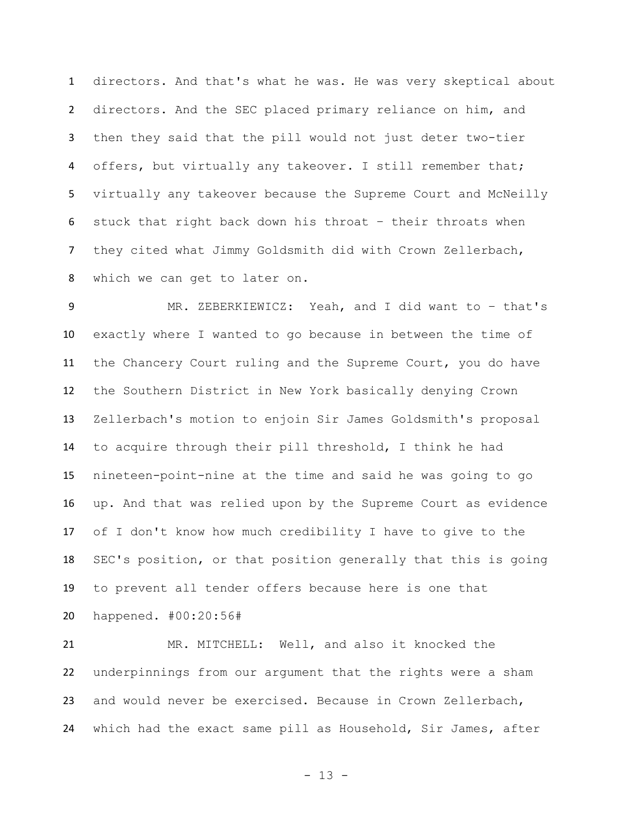directors. And that's what he was. He was very skeptical about directors. And the SEC placed primary reliance on him, and then they said that the pill would not just deter two-tier offers, but virtually any takeover. I still remember that; virtually any takeover because the Supreme Court and McNeilly stuck that right back down his throat – their throats when they cited what Jimmy Goldsmith did with Crown Zellerbach, which we can get to later on.

 MR. ZEBERKIEWICZ: Yeah, and I did want to – that's exactly where I wanted to go because in between the time of the Chancery Court ruling and the Supreme Court, you do have the Southern District in New York basically denying Crown Zellerbach's motion to enjoin Sir James Goldsmith's proposal to acquire through their pill threshold, I think he had nineteen-point-nine at the time and said he was going to go up. And that was relied upon by the Supreme Court as evidence of I don't know how much credibility I have to give to the SEC's position, or that position generally that this is going to prevent all tender offers because here is one that happened. #00:20:56#

 MR. MITCHELL: Well, and also it knocked the underpinnings from our argument that the rights were a sham and would never be exercised. Because in Crown Zellerbach, which had the exact same pill as Household, Sir James, after

- 13 -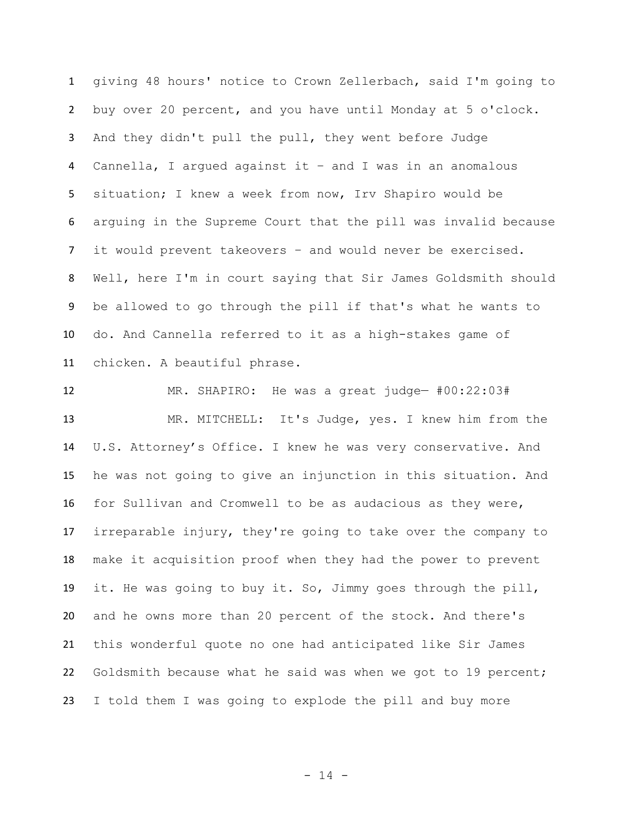giving 48 hours' notice to Crown Zellerbach, said I'm going to buy over 20 percent, and you have until Monday at 5 o'clock. And they didn't pull the pull, they went before Judge Cannella, I argued against it – and I was in an anomalous situation; I knew a week from now, Irv Shapiro would be arguing in the Supreme Court that the pill was invalid because it would prevent takeovers – and would never be exercised. Well, here I'm in court saying that Sir James Goldsmith should be allowed to go through the pill if that's what he wants to do. And Cannella referred to it as a high-stakes game of chicken. A beautiful phrase.

 MR. SHAPIRO: He was a great judge— #00:22:03# MR. MITCHELL: It's Judge, yes. I knew him from the U.S. Attorney's Office. I knew he was very conservative. And he was not going to give an injunction in this situation. And for Sullivan and Cromwell to be as audacious as they were, irreparable injury, they're going to take over the company to make it acquisition proof when they had the power to prevent it. He was going to buy it. So, Jimmy goes through the pill, and he owns more than 20 percent of the stock. And there's this wonderful quote no one had anticipated like Sir James Goldsmith because what he said was when we got to 19 percent; I told them I was going to explode the pill and buy more

- 14 -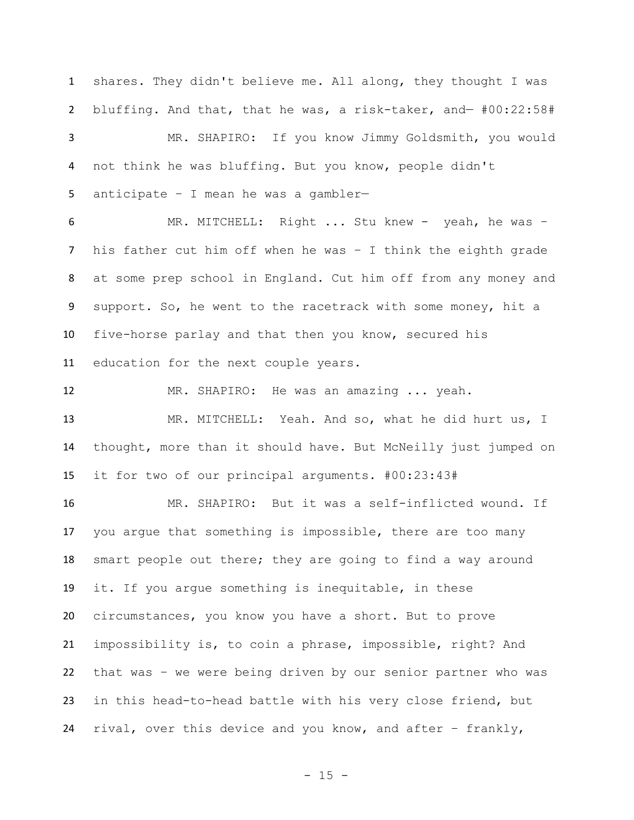shares. They didn't believe me. All along, they thought I was bluffing. And that, that he was, a risk-taker, and— #00:22:58# MR. SHAPIRO: If you know Jimmy Goldsmith, you would not think he was bluffing. But you know, people didn't anticipate – I mean he was a gambler— MR. MITCHELL: Right ... Stu knew - yeah, he was – his father cut him off when he was – I think the eighth grade at some prep school in England. Cut him off from any money and support. So, he went to the racetrack with some money, hit a five-horse parlay and that then you know, secured his education for the next couple years. MR. SHAPIRO: He was an amazing ... yeah. MR. MITCHELL: Yeah. And so, what he did hurt us, I thought, more than it should have. But McNeilly just jumped on it for two of our principal arguments. #00:23:43# MR. SHAPIRO: But it was a self-inflicted wound. If you argue that something is impossible, there are too many smart people out there; they are going to find a way around it. If you argue something is inequitable, in these circumstances, you know you have a short. But to prove impossibility is, to coin a phrase, impossible, right? And that was – we were being driven by our senior partner who was in this head-to-head battle with his very close friend, but rival, over this device and you know, and after – frankly,

 $- 15 -$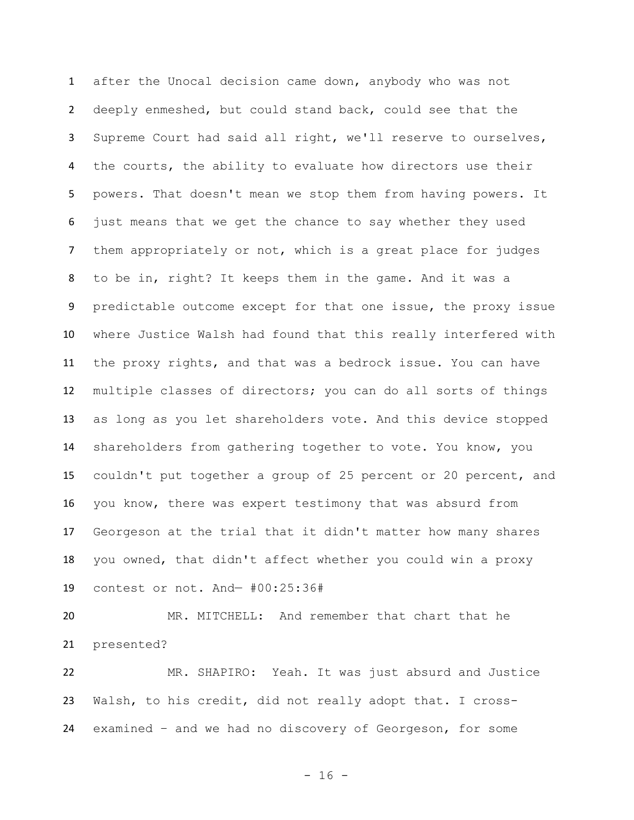after the Unocal decision came down, anybody who was not deeply enmeshed, but could stand back, could see that the Supreme Court had said all right, we'll reserve to ourselves, the courts, the ability to evaluate how directors use their powers. That doesn't mean we stop them from having powers. It just means that we get the chance to say whether they used them appropriately or not, which is a great place for judges to be in, right? It keeps them in the game. And it was a predictable outcome except for that one issue, the proxy issue where Justice Walsh had found that this really interfered with the proxy rights, and that was a bedrock issue. You can have multiple classes of directors; you can do all sorts of things as long as you let shareholders vote. And this device stopped shareholders from gathering together to vote. You know, you couldn't put together a group of 25 percent or 20 percent, and you know, there was expert testimony that was absurd from Georgeson at the trial that it didn't matter how many shares you owned, that didn't affect whether you could win a proxy contest or not. And— #00:25:36#

 MR. MITCHELL: And remember that chart that he presented?

 MR. SHAPIRO: Yeah. It was just absurd and Justice Walsh, to his credit, did not really adopt that. I cross-examined – and we had no discovery of Georgeson, for some

- 16 -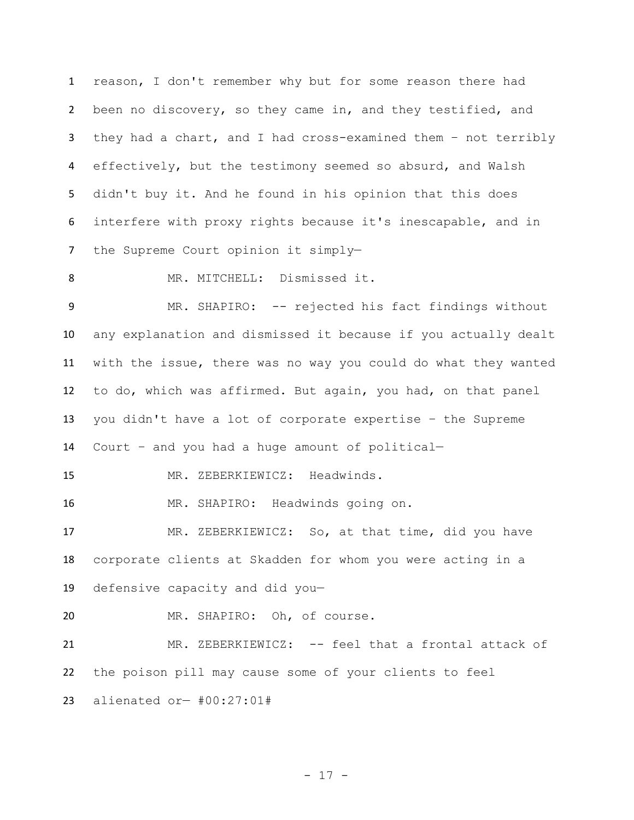reason, I don't remember why but for some reason there had been no discovery, so they came in, and they testified, and they had a chart, and I had cross-examined them – not terribly effectively, but the testimony seemed so absurd, and Walsh didn't buy it. And he found in his opinion that this does interfere with proxy rights because it's inescapable, and in the Supreme Court opinion it simply—

8 MR. MITCHELL: Dismissed it.

9 MR. SHAPIRO: -- rejected his fact findings without any explanation and dismissed it because if you actually dealt with the issue, there was no way you could do what they wanted to do, which was affirmed. But again, you had, on that panel you didn't have a lot of corporate expertise – the Supreme Court – and you had a huge amount of political—

MR. ZEBERKIEWICZ: Headwinds.

MR. SHAPIRO: Headwinds going on.

 MR. ZEBERKIEWICZ: So, at that time, did you have corporate clients at Skadden for whom you were acting in a defensive capacity and did you—

MR. SHAPIRO: Oh, of course.

 MR. ZEBERKIEWICZ: -- feel that a frontal attack of the poison pill may cause some of your clients to feel alienated or— #00:27:01#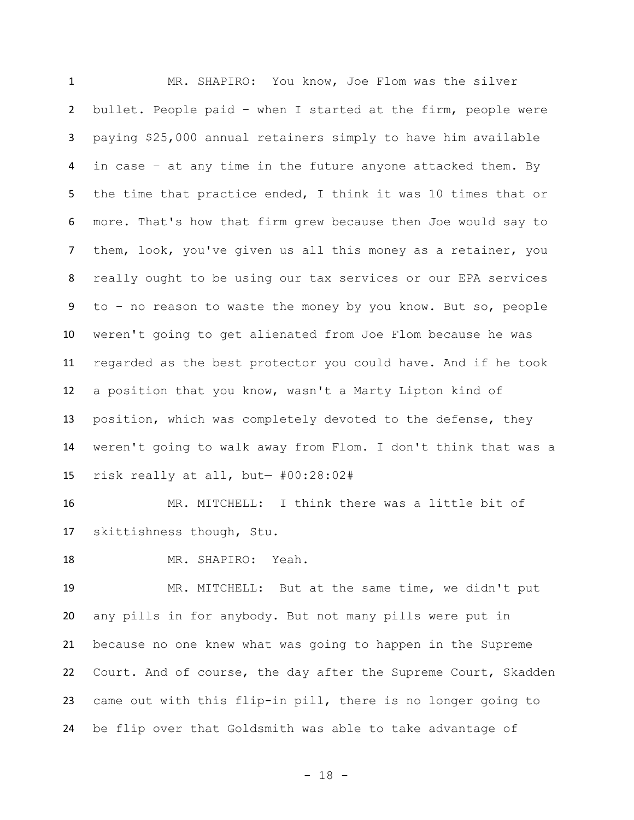MR. SHAPIRO: You know, Joe Flom was the silver bullet. People paid – when I started at the firm, people were paying \$25,000 annual retainers simply to have him available in case – at any time in the future anyone attacked them. By the time that practice ended, I think it was 10 times that or more. That's how that firm grew because then Joe would say to them, look, you've given us all this money as a retainer, you really ought to be using our tax services or our EPA services to – no reason to waste the money by you know. But so, people weren't going to get alienated from Joe Flom because he was regarded as the best protector you could have. And if he took a position that you know, wasn't a Marty Lipton kind of position, which was completely devoted to the defense, they weren't going to walk away from Flom. I don't think that was a risk really at all, but— #00:28:02#

 MR. MITCHELL: I think there was a little bit of skittishness though, Stu.

MR. SHAPIRO: Yeah.

 MR. MITCHELL: But at the same time, we didn't put any pills in for anybody. But not many pills were put in because no one knew what was going to happen in the Supreme Court. And of course, the day after the Supreme Court, Skadden came out with this flip-in pill, there is no longer going to be flip over that Goldsmith was able to take advantage of

- 18 -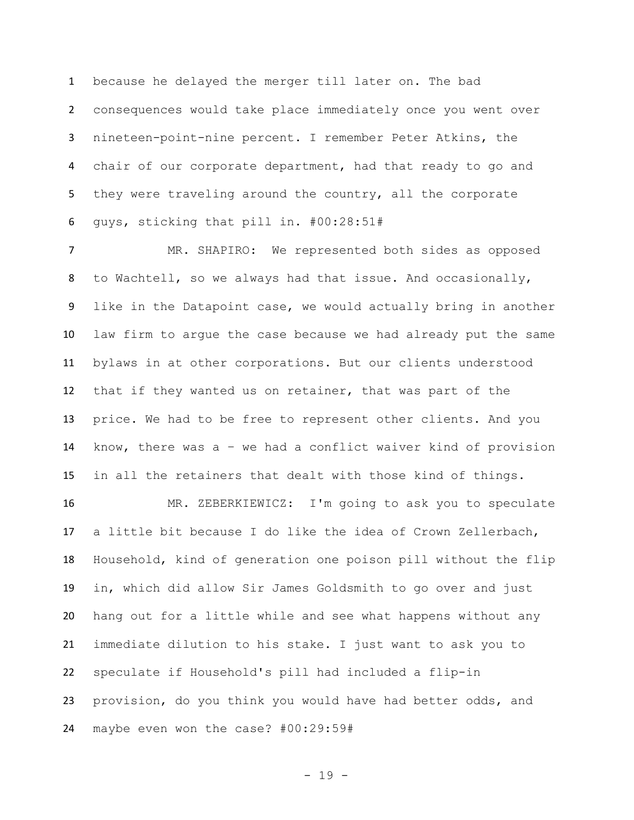because he delayed the merger till later on. The bad consequences would take place immediately once you went over nineteen-point-nine percent. I remember Peter Atkins, the chair of our corporate department, had that ready to go and 5 they were traveling around the country, all the corporate guys, sticking that pill in. #00:28:51#

 MR. SHAPIRO: We represented both sides as opposed to Wachtell, so we always had that issue. And occasionally, like in the Datapoint case, we would actually bring in another law firm to argue the case because we had already put the same bylaws in at other corporations. But our clients understood that if they wanted us on retainer, that was part of the price. We had to be free to represent other clients. And you know, there was a – we had a conflict waiver kind of provision in all the retainers that dealt with those kind of things.

 MR. ZEBERKIEWICZ: I'm going to ask you to speculate a little bit because I do like the idea of Crown Zellerbach, Household, kind of generation one poison pill without the flip in, which did allow Sir James Goldsmith to go over and just hang out for a little while and see what happens without any immediate dilution to his stake. I just want to ask you to speculate if Household's pill had included a flip-in provision, do you think you would have had better odds, and maybe even won the case? #00:29:59#

- 19 -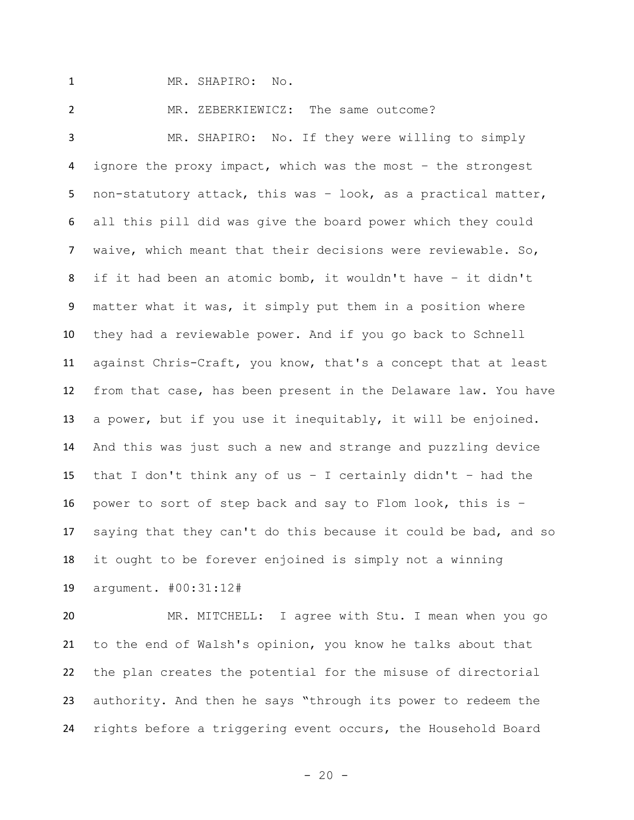MR. SHAPIRO: No.

MR. ZEBERKIEWICZ: The same outcome?

 MR. SHAPIRO: No. If they were willing to simply ignore the proxy impact, which was the most – the strongest non-statutory attack, this was – look, as a practical matter, all this pill did was give the board power which they could waive, which meant that their decisions were reviewable. So, if it had been an atomic bomb, it wouldn't have – it didn't matter what it was, it simply put them in a position where they had a reviewable power. And if you go back to Schnell against Chris-Craft, you know, that's a concept that at least from that case, has been present in the Delaware law. You have a power, but if you use it inequitably, it will be enjoined. And this was just such a new and strange and puzzling device that I don't think any of us – I certainly didn't – had the power to sort of step back and say to Flom look, this is – saying that they can't do this because it could be bad, and so it ought to be forever enjoined is simply not a winning argument. #00:31:12#

 MR. MITCHELL: I agree with Stu. I mean when you go to the end of Walsh's opinion, you know he talks about that the plan creates the potential for the misuse of directorial authority. And then he says "through its power to redeem the rights before a triggering event occurs, the Household Board

 $- 20 -$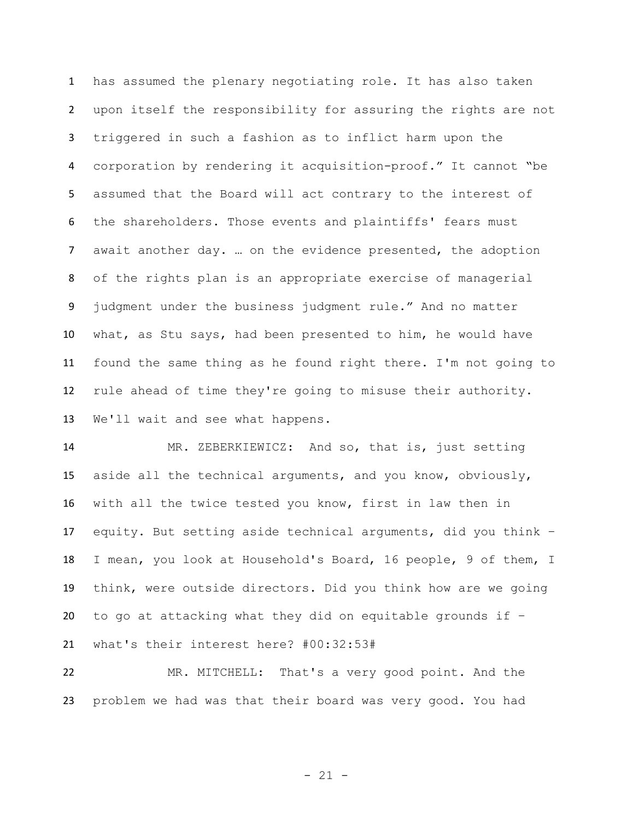has assumed the plenary negotiating role. It has also taken upon itself the responsibility for assuring the rights are not triggered in such a fashion as to inflict harm upon the corporation by rendering it acquisition-proof." It cannot "be assumed that the Board will act contrary to the interest of the shareholders. Those events and plaintiffs' fears must await another day. … on the evidence presented, the adoption of the rights plan is an appropriate exercise of managerial judgment under the business judgment rule." And no matter what, as Stu says, had been presented to him, he would have found the same thing as he found right there. I'm not going to rule ahead of time they're going to misuse their authority. We'll wait and see what happens.

 MR. ZEBERKIEWICZ: And so, that is, just setting aside all the technical arguments, and you know, obviously, with all the twice tested you know, first in law then in equity. But setting aside technical arguments, did you think – I mean, you look at Household's Board, 16 people, 9 of them, I think, were outside directors. Did you think how are we going 20 to go at attacking what they did on equitable grounds if  $-$ what's their interest here? #00:32:53#

 MR. MITCHELL: That's a very good point. And the problem we had was that their board was very good. You had

- 21 -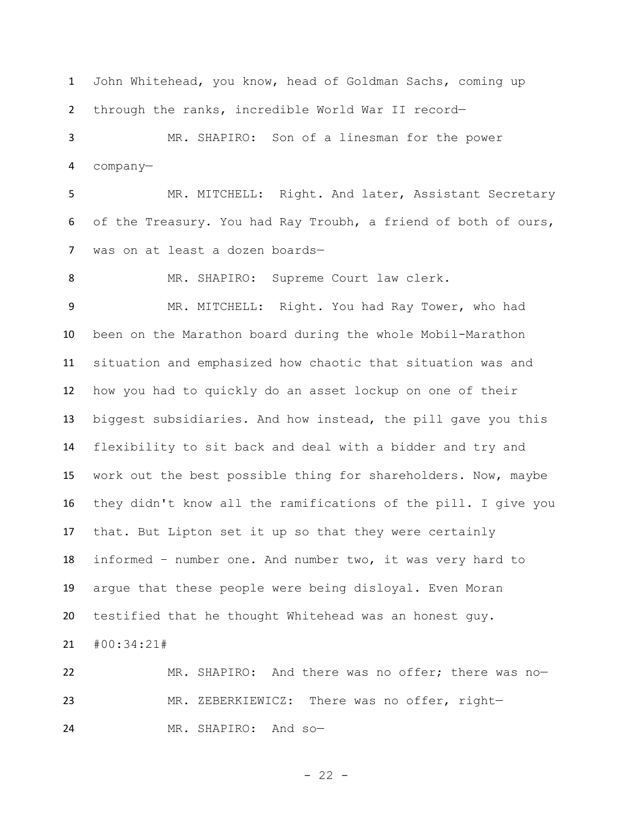John Whitehead, you know, head of Goldman Sachs, coming up through the ranks, incredible World War II record—

 MR. SHAPIRO: Son of a linesman for the power company—

 MR. MITCHELL: Right. And later, Assistant Secretary of the Treasury. You had Ray Troubh, a friend of both of ours, was on at least a dozen boards—

MR. SHAPIRO: Supreme Court law clerk.

 MR. MITCHELL: Right. You had Ray Tower, who had been on the Marathon board during the whole Mobil-Marathon situation and emphasized how chaotic that situation was and how you had to quickly do an asset lockup on one of their biggest subsidiaries. And how instead, the pill gave you this flexibility to sit back and deal with a bidder and try and work out the best possible thing for shareholders. Now, maybe they didn't know all the ramifications of the pill. I give you that. But Lipton set it up so that they were certainly informed – number one. And number two, it was very hard to argue that these people were being disloyal. Even Moran testified that he thought Whitehead was an honest guy.

#00:34:21#

 MR. SHAPIRO: And there was no offer; there was no— MR. ZEBERKIEWICZ: There was no offer, right— MR. SHAPIRO: And so—

 $- 22 -$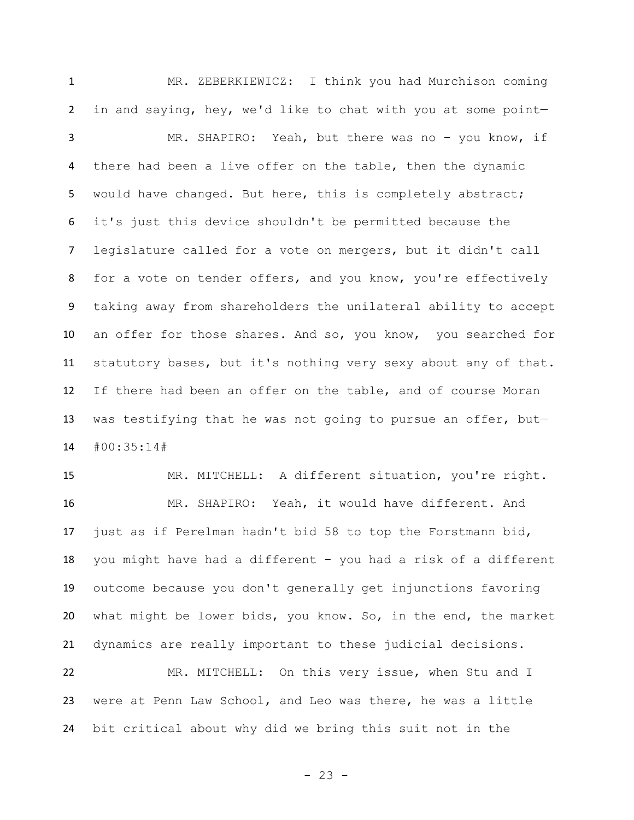MR. ZEBERKIEWICZ: I think you had Murchison coming in and saying, hey, we'd like to chat with you at some point— MR. SHAPIRO: Yeah, but there was no – you know, if there had been a live offer on the table, then the dynamic would have changed. But here, this is completely abstract; it's just this device shouldn't be permitted because the legislature called for a vote on mergers, but it didn't call for a vote on tender offers, and you know, you're effectively taking away from shareholders the unilateral ability to accept an offer for those shares. And so, you know, you searched for statutory bases, but it's nothing very sexy about any of that. If there had been an offer on the table, and of course Moran was testifying that he was not going to pursue an offer, but— #00:35:14#

 MR. MITCHELL: A different situation, you're right. MR. SHAPIRO: Yeah, it would have different. And just as if Perelman hadn't bid 58 to top the Forstmann bid, you might have had a different – you had a risk of a different outcome because you don't generally get injunctions favoring what might be lower bids, you know. So, in the end, the market dynamics are really important to these judicial decisions.

 MR. MITCHELL: On this very issue, when Stu and I were at Penn Law School, and Leo was there, he was a little bit critical about why did we bring this suit not in the

- 23 -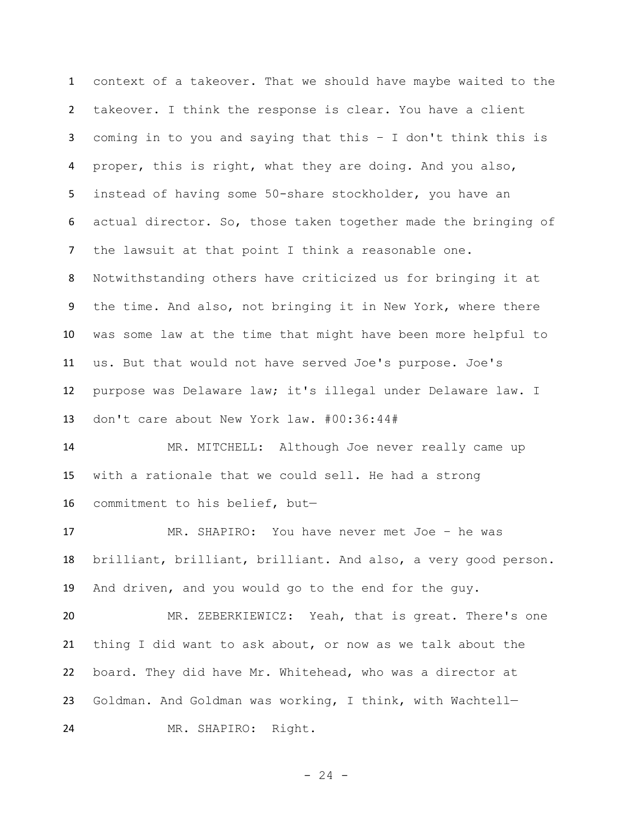context of a takeover. That we should have maybe waited to the takeover. I think the response is clear. You have a client coming in to you and saying that this – I don't think this is proper, this is right, what they are doing. And you also, instead of having some 50-share stockholder, you have an actual director. So, those taken together made the bringing of the lawsuit at that point I think a reasonable one. Notwithstanding others have criticized us for bringing it at the time. And also, not bringing it in New York, where there was some law at the time that might have been more helpful to us. But that would not have served Joe's purpose. Joe's purpose was Delaware law; it's illegal under Delaware law. I don't care about New York law. #00:36:44#

 MR. MITCHELL: Although Joe never really came up with a rationale that we could sell. He had a strong commitment to his belief, but—

 MR. SHAPIRO: You have never met Joe – he was brilliant, brilliant, brilliant. And also, a very good person. And driven, and you would go to the end for the guy.

 MR. ZEBERKIEWICZ: Yeah, that is great. There's one thing I did want to ask about, or now as we talk about the board. They did have Mr. Whitehead, who was a director at Goldman. And Goldman was working, I think, with Wachtell— MR. SHAPIRO: Right.

 $- 24 -$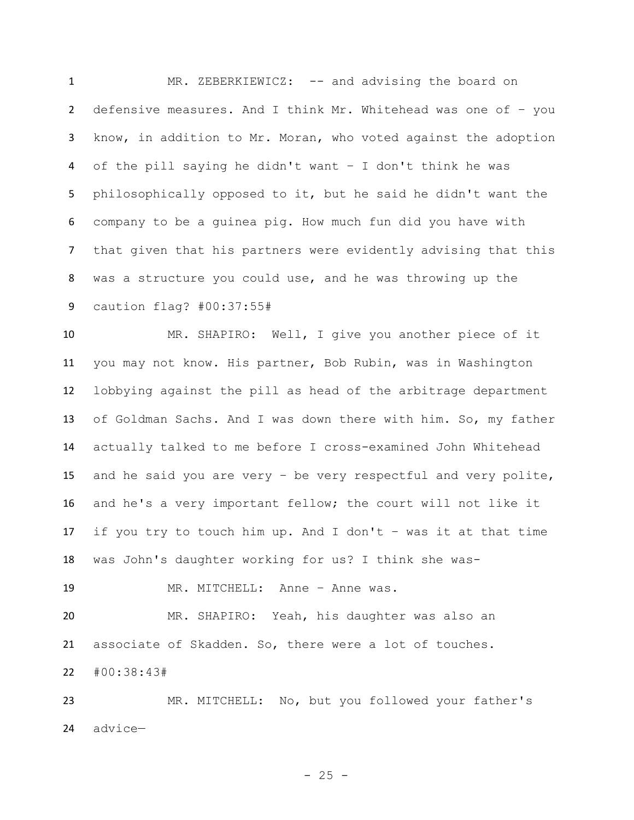1 MR. ZEBERKIEWICZ: -- and advising the board on defensive measures. And I think Mr. Whitehead was one of – you know, in addition to Mr. Moran, who voted against the adoption of the pill saying he didn't want – I don't think he was philosophically opposed to it, but he said he didn't want the company to be a guinea pig. How much fun did you have with that given that his partners were evidently advising that this was a structure you could use, and he was throwing up the caution flag? #00:37:55#

 MR. SHAPIRO: Well, I give you another piece of it you may not know. His partner, Bob Rubin, was in Washington lobbying against the pill as head of the arbitrage department of Goldman Sachs. And I was down there with him. So, my father actually talked to me before I cross-examined John Whitehead and he said you are very – be very respectful and very polite, and he's a very important fellow; the court will not like it if you try to touch him up. And I don't – was it at that time was John's daughter working for us? I think she was-

MR. MITCHELL: Anne – Anne was.

 MR. SHAPIRO: Yeah, his daughter was also an associate of Skadden. So, there were a lot of touches. #00:38:43#

 MR. MITCHELL: No, but you followed your father's advice—

 $- 25 -$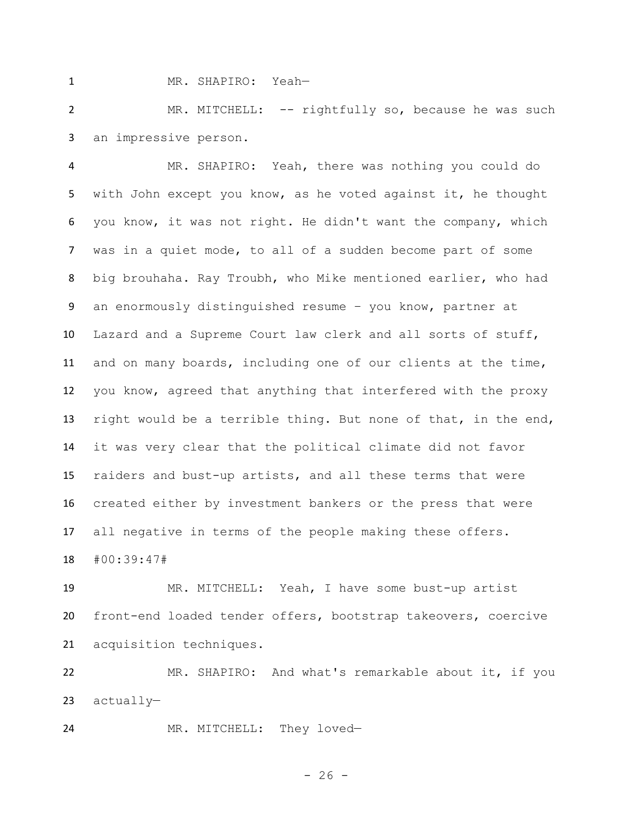MR. SHAPIRO: Yeah—

 MR. MITCHELL: -- rightfully so, because he was such an impressive person.

 MR. SHAPIRO: Yeah, there was nothing you could do with John except you know, as he voted against it, he thought you know, it was not right. He didn't want the company, which was in a quiet mode, to all of a sudden become part of some big brouhaha. Ray Troubh, who Mike mentioned earlier, who had an enormously distinguished resume – you know, partner at Lazard and a Supreme Court law clerk and all sorts of stuff, and on many boards, including one of our clients at the time, you know, agreed that anything that interfered with the proxy right would be a terrible thing. But none of that, in the end, it was very clear that the political climate did not favor raiders and bust-up artists, and all these terms that were created either by investment bankers or the press that were all negative in terms of the people making these offers. #00:39:47#

 MR. MITCHELL: Yeah, I have some bust-up artist front-end loaded tender offers, bootstrap takeovers, coercive acquisition techniques.

 MR. SHAPIRO: And what's remarkable about it, if you actually—

MR. MITCHELL: They loved—

 $- 26 -$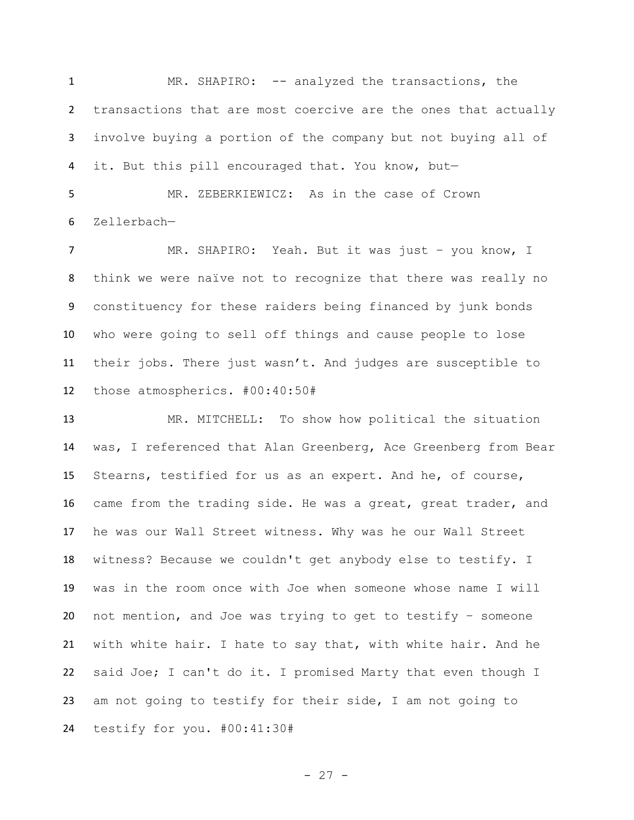MR. SHAPIRO: -- analyzed the transactions, the transactions that are most coercive are the ones that actually involve buying a portion of the company but not buying all of it. But this pill encouraged that. You know, but—

 MR. ZEBERKIEWICZ: As in the case of Crown Zellerbach—

 MR. SHAPIRO: Yeah. But it was just – you know, I think we were naïve not to recognize that there was really no constituency for these raiders being financed by junk bonds who were going to sell off things and cause people to lose their jobs. There just wasn't. And judges are susceptible to those atmospherics. #00:40:50#

 MR. MITCHELL: To show how political the situation was, I referenced that Alan Greenberg, Ace Greenberg from Bear Stearns, testified for us as an expert. And he, of course, came from the trading side. He was a great, great trader, and he was our Wall Street witness. Why was he our Wall Street witness? Because we couldn't get anybody else to testify. I was in the room once with Joe when someone whose name I will not mention, and Joe was trying to get to testify – someone with white hair. I hate to say that, with white hair. And he said Joe; I can't do it. I promised Marty that even though I am not going to testify for their side, I am not going to testify for you. #00:41:30#

- 27 -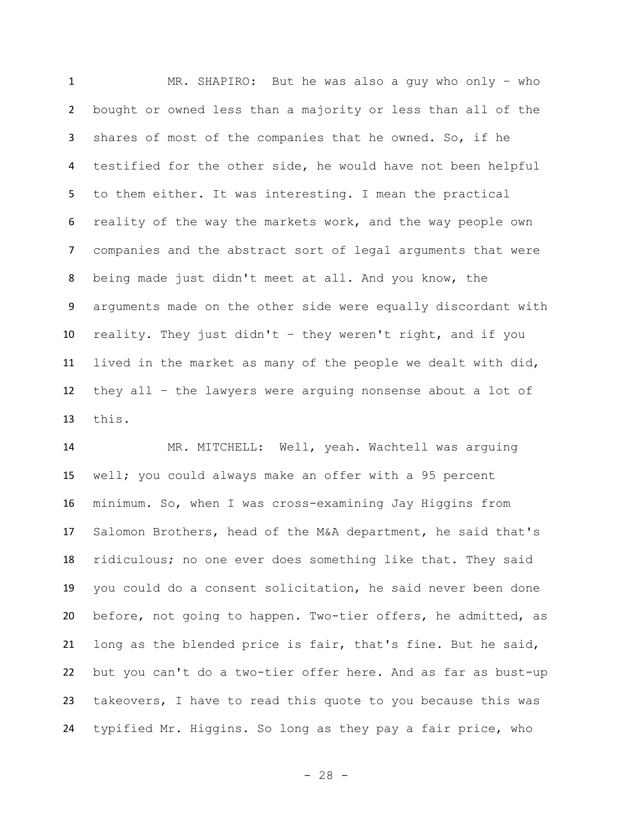MR. SHAPIRO: But he was also a guy who only – who bought or owned less than a majority or less than all of the shares of most of the companies that he owned. So, if he testified for the other side, he would have not been helpful to them either. It was interesting. I mean the practical reality of the way the markets work, and the way people own companies and the abstract sort of legal arguments that were being made just didn't meet at all. And you know, the arguments made on the other side were equally discordant with reality. They just didn't – they weren't right, and if you lived in the market as many of the people we dealt with did, they all – the lawyers were arguing nonsense about a lot of this.

14 MR. MITCHELL: Well, yeah. Wachtell was arguing well; you could always make an offer with a 95 percent minimum. So, when I was cross-examining Jay Higgins from Salomon Brothers, head of the M&A department, he said that's ridiculous; no one ever does something like that. They said you could do a consent solicitation, he said never been done before, not going to happen. Two-tier offers, he admitted, as long as the blended price is fair, that's fine. But he said, but you can't do a two-tier offer here. And as far as bust-up takeovers, I have to read this quote to you because this was typified Mr. Higgins. So long as they pay a fair price, who

- 28 -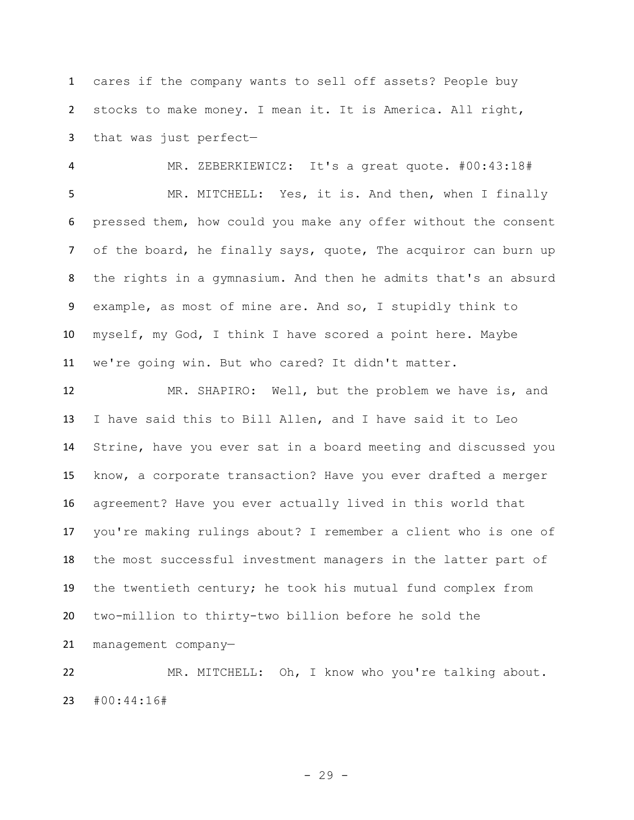cares if the company wants to sell off assets? People buy stocks to make money. I mean it. It is America. All right, that was just perfect—

 MR. ZEBERKIEWICZ: It's a great quote. #00:43:18# MR. MITCHELL: Yes, it is. And then, when I finally pressed them, how could you make any offer without the consent 7 of the board, he finally says, quote, The acquiror can burn up the rights in a gymnasium. And then he admits that's an absurd example, as most of mine are. And so, I stupidly think to myself, my God, I think I have scored a point here. Maybe we're going win. But who cared? It didn't matter.

 MR. SHAPIRO: Well, but the problem we have is, and I have said this to Bill Allen, and I have said it to Leo Strine, have you ever sat in a board meeting and discussed you know, a corporate transaction? Have you ever drafted a merger agreement? Have you ever actually lived in this world that you're making rulings about? I remember a client who is one of the most successful investment managers in the latter part of the twentieth century; he took his mutual fund complex from two-million to thirty-two billion before he sold the management company—

 MR. MITCHELL: Oh, I know who you're talking about. #00:44:16#

- 29 -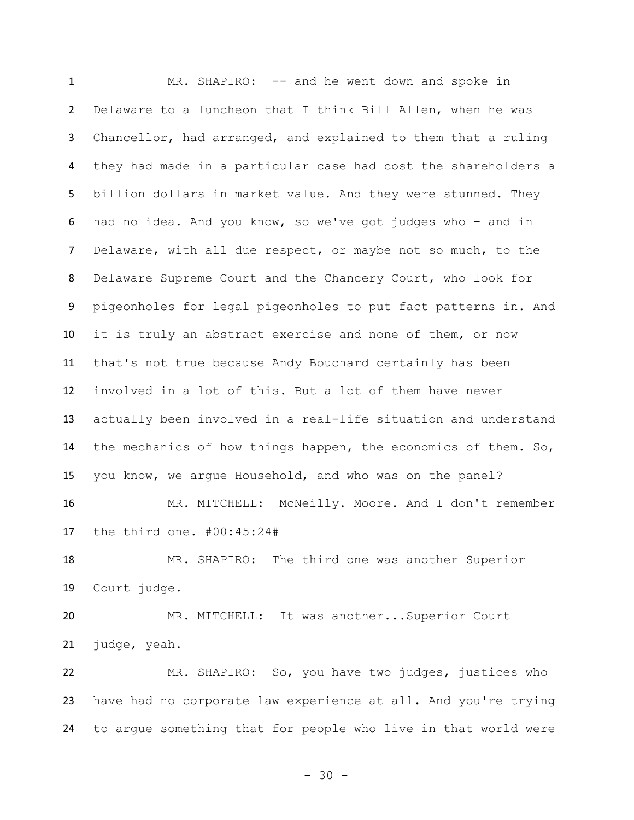MR. SHAPIRO: -- and he went down and spoke in Delaware to a luncheon that I think Bill Allen, when he was Chancellor, had arranged, and explained to them that a ruling they had made in a particular case had cost the shareholders a billion dollars in market value. And they were stunned. They had no idea. And you know, so we've got judges who – and in Delaware, with all due respect, or maybe not so much, to the Delaware Supreme Court and the Chancery Court, who look for pigeonholes for legal pigeonholes to put fact patterns in. And it is truly an abstract exercise and none of them, or now that's not true because Andy Bouchard certainly has been involved in a lot of this. But a lot of them have never actually been involved in a real-life situation and understand the mechanics of how things happen, the economics of them. So, you know, we argue Household, and who was on the panel? 16 MR. MITCHELL: McNeilly. Moore. And I don't remember the third one. #00:45:24# MR. SHAPIRO: The third one was another Superior Court judge. MR. MITCHELL: It was another...Superior Court judge, yeah. MR. SHAPIRO: So, you have two judges, justices who have had no corporate law experience at all. And you're trying to argue something that for people who live in that world were

- 30 -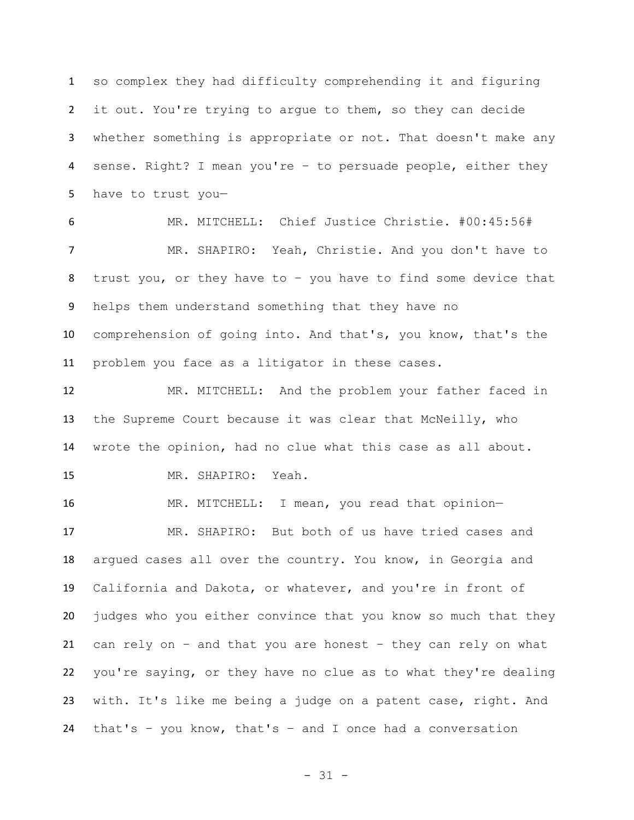so complex they had difficulty comprehending it and figuring it out. You're trying to argue to them, so they can decide whether something is appropriate or not. That doesn't make any sense. Right? I mean you're – to persuade people, either they have to trust you—

 MR. MITCHELL: Chief Justice Christie. #00:45:56# MR. SHAPIRO: Yeah, Christie. And you don't have to trust you, or they have to – you have to find some device that helps them understand something that they have no comprehension of going into. And that's, you know, that's the problem you face as a litigator in these cases.

 MR. MITCHELL: And the problem your father faced in the Supreme Court because it was clear that McNeilly, who wrote the opinion, had no clue what this case as all about. MR. SHAPIRO: Yeah.

 MR. MITCHELL: I mean, you read that opinion— MR. SHAPIRO: But both of us have tried cases and argued cases all over the country. You know, in Georgia and California and Dakota, or whatever, and you're in front of judges who you either convince that you know so much that they can rely on – and that you are honest – they can rely on what you're saying, or they have no clue as to what they're dealing with. It's like me being a judge on a patent case, right. And that's – you know, that's – and I once had a conversation

- 31 -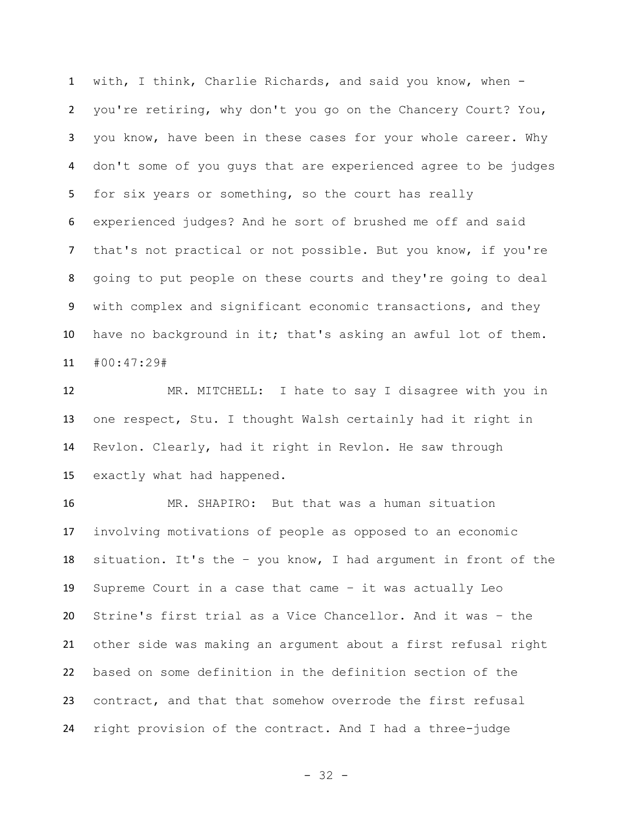with, I think, Charlie Richards, and said you know, when - you're retiring, why don't you go on the Chancery Court? You, you know, have been in these cases for your whole career. Why don't some of you guys that are experienced agree to be judges for six years or something, so the court has really experienced judges? And he sort of brushed me off and said that's not practical or not possible. But you know, if you're going to put people on these courts and they're going to deal with complex and significant economic transactions, and they have no background in it; that's asking an awful lot of them. #00:47:29#

 MR. MITCHELL: I hate to say I disagree with you in one respect, Stu. I thought Walsh certainly had it right in Revlon. Clearly, had it right in Revlon. He saw through exactly what had happened.

 MR. SHAPIRO: But that was a human situation involving motivations of people as opposed to an economic situation. It's the – you know, I had argument in front of the Supreme Court in a case that came – it was actually Leo Strine's first trial as a Vice Chancellor. And it was – the other side was making an argument about a first refusal right based on some definition in the definition section of the contract, and that that somehow overrode the first refusal right provision of the contract. And I had a three-judge

- 32 -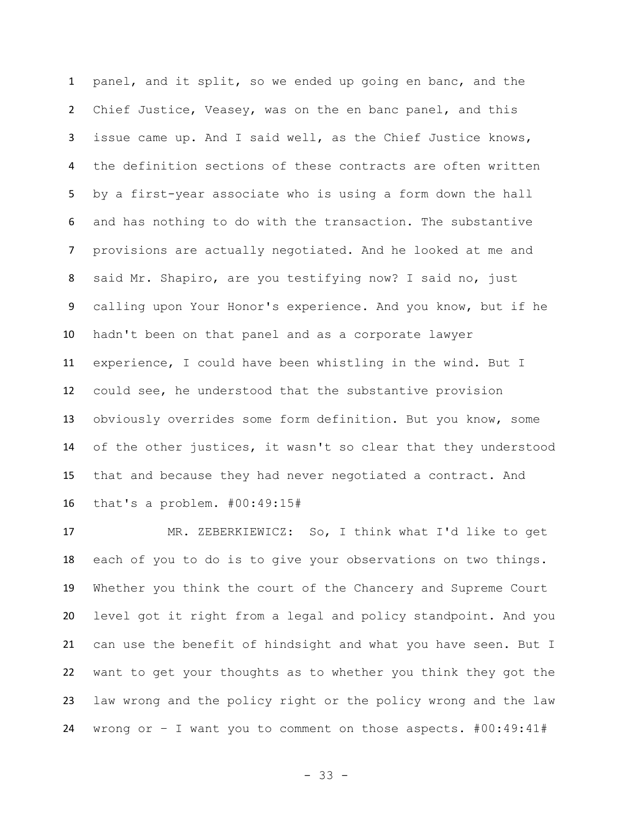panel, and it split, so we ended up going en banc, and the Chief Justice, Veasey, was on the en banc panel, and this issue came up. And I said well, as the Chief Justice knows, the definition sections of these contracts are often written by a first-year associate who is using a form down the hall and has nothing to do with the transaction. The substantive provisions are actually negotiated. And he looked at me and said Mr. Shapiro, are you testifying now? I said no, just calling upon Your Honor's experience. And you know, but if he hadn't been on that panel and as a corporate lawyer experience, I could have been whistling in the wind. But I could see, he understood that the substantive provision obviously overrides some form definition. But you know, some of the other justices, it wasn't so clear that they understood that and because they had never negotiated a contract. And that's a problem. #00:49:15#

 MR. ZEBERKIEWICZ: So, I think what I'd like to get each of you to do is to give your observations on two things. Whether you think the court of the Chancery and Supreme Court level got it right from a legal and policy standpoint. And you can use the benefit of hindsight and what you have seen. But I want to get your thoughts as to whether you think they got the law wrong and the policy right or the policy wrong and the law wrong or – I want you to comment on those aspects. #00:49:41#

- 33 -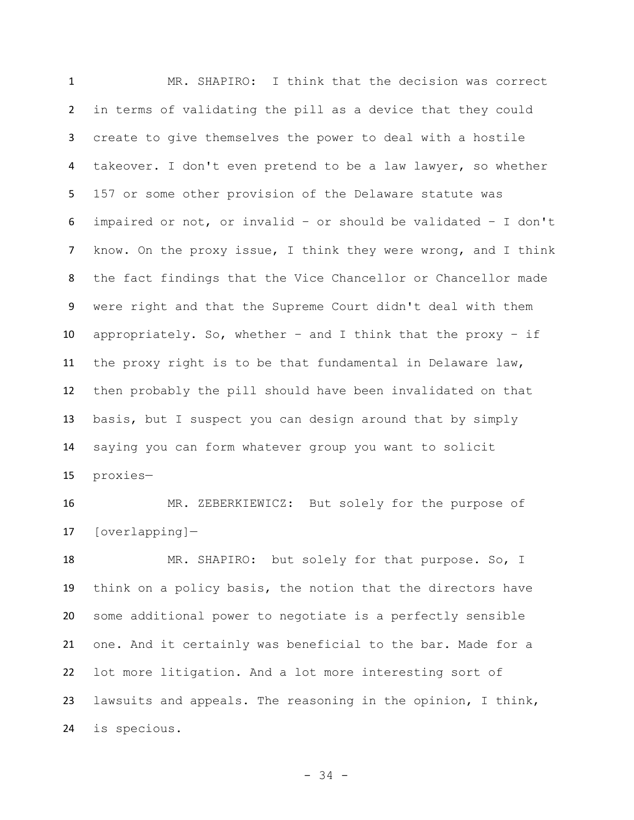MR. SHAPIRO: I think that the decision was correct in terms of validating the pill as a device that they could create to give themselves the power to deal with a hostile takeover. I don't even pretend to be a law lawyer, so whether 157 or some other provision of the Delaware statute was impaired or not, or invalid – or should be validated – I don't know. On the proxy issue, I think they were wrong, and I think the fact findings that the Vice Chancellor or Chancellor made were right and that the Supreme Court didn't deal with them appropriately. So, whether – and I think that the proxy – if the proxy right is to be that fundamental in Delaware law, then probably the pill should have been invalidated on that basis, but I suspect you can design around that by simply saying you can form whatever group you want to solicit proxies—

 MR. ZEBERKIEWICZ: But solely for the purpose of [overlapping]—

 MR. SHAPIRO: but solely for that purpose. So, I think on a policy basis, the notion that the directors have some additional power to negotiate is a perfectly sensible one. And it certainly was beneficial to the bar. Made for a lot more litigation. And a lot more interesting sort of lawsuits and appeals. The reasoning in the opinion, I think, is specious.

- 34 -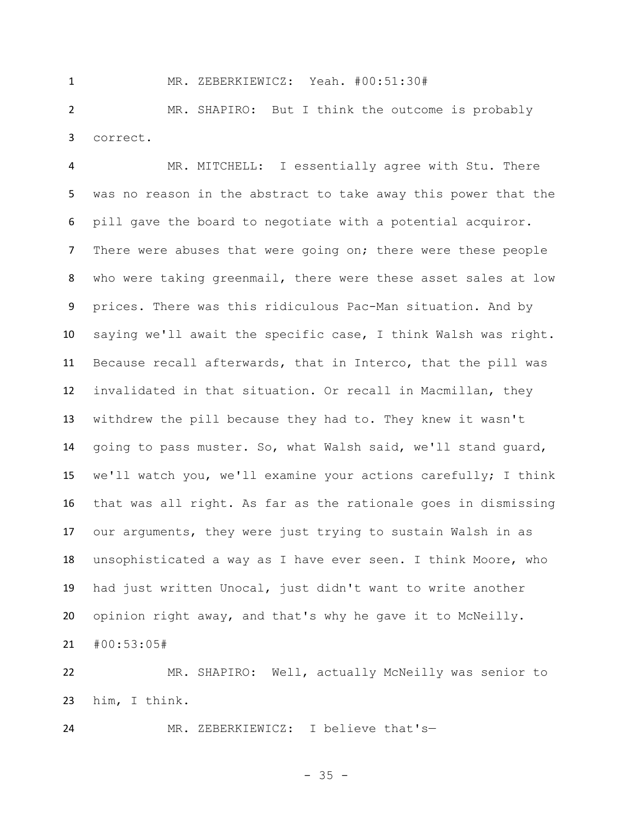MR. ZEBERKIEWICZ: Yeah. #00:51:30#

 MR. SHAPIRO: But I think the outcome is probably correct.

 MR. MITCHELL: I essentially agree with Stu. There was no reason in the abstract to take away this power that the pill gave the board to negotiate with a potential acquiror. 7 There were abuses that were going on; there were these people who were taking greenmail, there were these asset sales at low prices. There was this ridiculous Pac-Man situation. And by saying we'll await the specific case, I think Walsh was right. Because recall afterwards, that in Interco, that the pill was invalidated in that situation. Or recall in Macmillan, they withdrew the pill because they had to. They knew it wasn't going to pass muster. So, what Walsh said, we'll stand guard, we'll watch you, we'll examine your actions carefully; I think that was all right. As far as the rationale goes in dismissing our arguments, they were just trying to sustain Walsh in as unsophisticated a way as I have ever seen. I think Moore, who had just written Unocal, just didn't want to write another opinion right away, and that's why he gave it to McNeilly. #00:53:05#

 MR. SHAPIRO: Well, actually McNeilly was senior to him, I think.

MR. ZEBERKIEWICZ: I believe that's—

- 35 -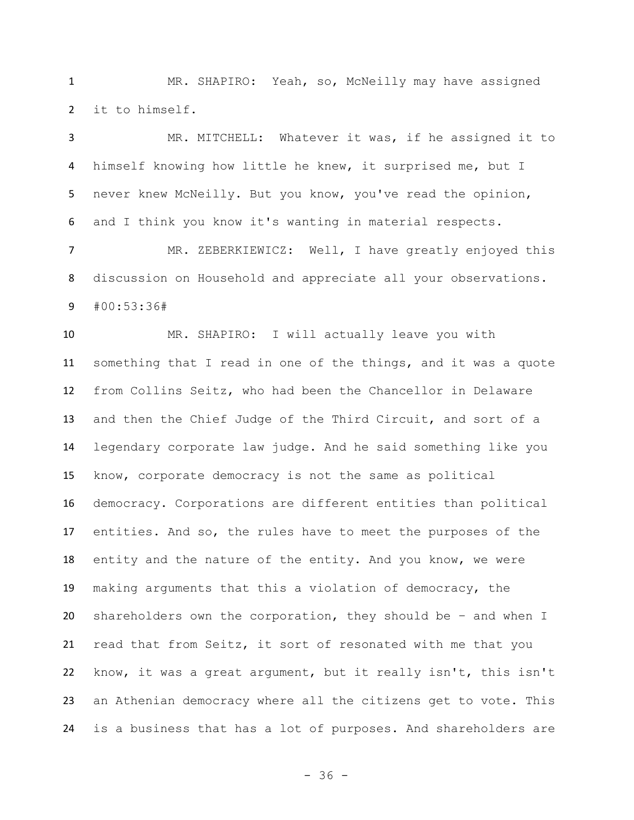MR. SHAPIRO: Yeah, so, McNeilly may have assigned it to himself.

 MR. MITCHELL: Whatever it was, if he assigned it to himself knowing how little he knew, it surprised me, but I never knew McNeilly. But you know, you've read the opinion, and I think you know it's wanting in material respects.

 MR. ZEBERKIEWICZ: Well, I have greatly enjoyed this discussion on Household and appreciate all your observations. #00:53:36#

 MR. SHAPIRO: I will actually leave you with something that I read in one of the things, and it was a quote from Collins Seitz, who had been the Chancellor in Delaware and then the Chief Judge of the Third Circuit, and sort of a legendary corporate law judge. And he said something like you know, corporate democracy is not the same as political democracy. Corporations are different entities than political entities. And so, the rules have to meet the purposes of the entity and the nature of the entity. And you know, we were making arguments that this a violation of democracy, the shareholders own the corporation, they should be – and when I read that from Seitz, it sort of resonated with me that you know, it was a great argument, but it really isn't, this isn't an Athenian democracy where all the citizens get to vote. This is a business that has a lot of purposes. And shareholders are

- 36 -